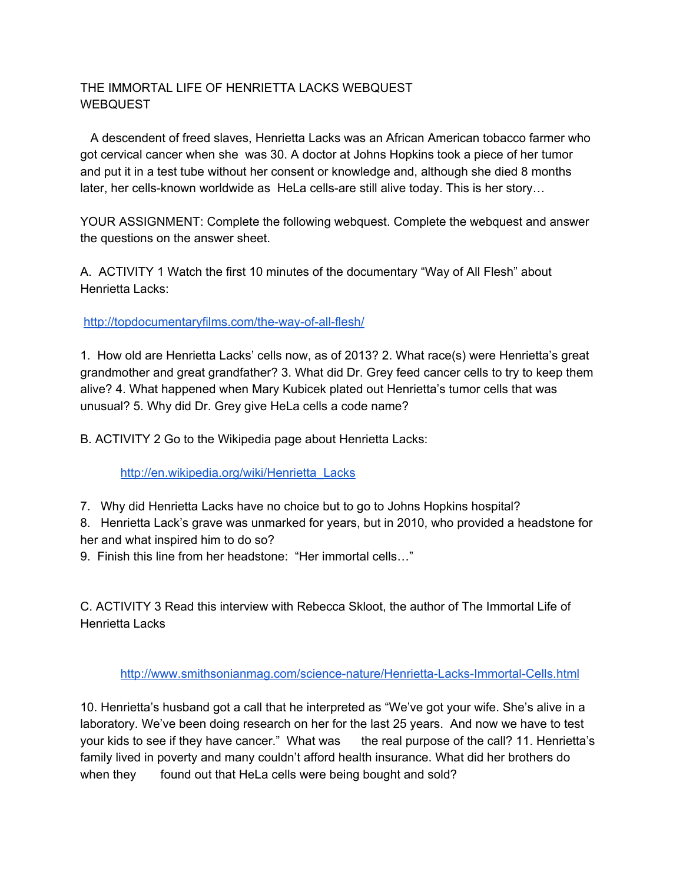## THE IMMORTAL LIFE OF HENRIETTA LACKS WEBQUEST **WEBQUEST**

A descendent of freed slaves, Henrietta Lacks was an African American tobacco farmer who got cervical cancer when she was 30. A doctor at Johns Hopkins took a piece of her tumor and put it in a test tube without her consent or knowledge and, although she died 8 months later, her cells-known worldwide as HeLa cells-are still alive today. This is her story…

YOUR ASSIGNMENT: Complete the following webquest. Complete the webquest and answer the questions on the answer sheet.

A. ACTIVITY 1 Watch the first 10 minutes of the documentary "Way of All Flesh" about Henrietta Lacks:

<http://topdocumentaryfilms.com/the-way-of-all-flesh/>

1. How old are Henrietta Lacks' cells now, as of 2013? 2. What race(s) were Henrietta's great grandmother and great grandfather? 3. What did Dr. Grey feed cancer cells to try to keep them alive? 4. What happened when Mary Kubicek plated out Henrietta's tumor cells that was unusual? 5. Why did Dr. Grey give HeLa cells a code name?

B. ACTIVITY 2 Go to the Wikipedia page about Henrietta Lacks:

[http://en.wikipedia.org/wiki/Henrietta\\_Lacks](http://en.wikipedia.org/wiki/Henrietta_Lacks)

7. Why did Henrietta Lacks have no choice but to go to Johns Hopkins hospital?

8. Henrietta Lack's grave was unmarked for years, but in 2010, who provided a headstone for her and what inspired him to do so?

9. Finish this line from her headstone: "Her immortal cells…"

C. ACTIVITY 3 Read this interview with Rebecca Skloot, the author of The Immortal Life of Henrietta Lacks

<http://www.smithsonianmag.com/science-nature/Henrietta-Lacks-Immortal-Cells.html>

10. Henrietta's husband got a call that he interpreted as "We've got your wife. She's alive in a laboratory. We've been doing research on her for the last 25 years. And now we have to test your kids to see if they have cancer." What was the real purpose of the call? 11. Henrietta's family lived in poverty and many couldn't afford health insurance. What did her brothers do when they found out that HeLa cells were being bought and sold?